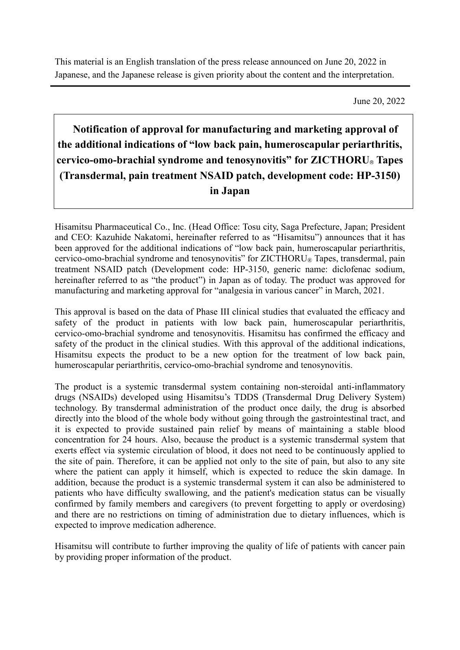This material is an English translation of the press release announced on June 20, 2022 in Japanese, and the Japanese release is given priority about the content and the interpretation.

June 20, 2022

## **Notification of approval for manufacturing and marketing approval of the additional indications of "low back pain, humeroscapular periarthritis, cervico-omo-brachial syndrome and tenosynovitis" for ZICTHORU**® **Tapes (Transdermal, pain treatment NSAID patch, development code: HP-3150) in Japan**

Hisamitsu Pharmaceutical Co., Inc. (Head Office: Tosu city, Saga Prefecture, Japan; President and CEO: Kazuhide Nakatomi, hereinafter referred to as "Hisamitsu") announces that it has been approved for the additional indications of "low back pain, humeroscapular periarthritis, cervico-omo-brachial syndrome and tenosynovitis" for  $ZICTHORU$ ® Tapes, transdermal, pain treatment NSAID patch (Development code: HP-3150, generic name: diclofenac sodium, hereinafter referred to as "the product") in Japan as of today. The product was approved for manufacturing and marketing approval for "analgesia in various cancer" in March, 2021.

This approval is based on the data of Phase III clinical studies that evaluated the efficacy and safety of the product in patients with low back pain, humeroscapular periarthritis, cervico-omo-brachial syndrome and tenosynovitis. Hisamitsu has confirmed the efficacy and safety of the product in the clinical studies. With this approval of the additional indications, Hisamitsu expects the product to be a new option for the treatment of low back pain, humeroscapular periarthritis, cervico-omo-brachial syndrome and tenosynovitis.

The product is a systemic transdermal system containing non-steroidal anti-inflammatory drugs (NSAIDs) developed using Hisamitsu's TDDS (Transdermal Drug Delivery System) technology. By transdermal administration of the product once daily, the drug is absorbed directly into the blood of the whole body without going through the gastrointestinal tract, and it is expected to provide sustained pain relief by means of maintaining a stable blood concentration for 24 hours. Also, because the product is a systemic transdermal system that exerts effect via systemic circulation of blood, it does not need to be continuously applied to the site of pain. Therefore, it can be applied not only to the site of pain, but also to any site where the patient can apply it himself, which is expected to reduce the skin damage. In addition, because the product is a systemic transdermal system it can also be administered to patients who have difficulty swallowing, and the patient's medication status can be visually confirmed by family members and caregivers (to prevent forgetting to apply or overdosing) and there are no restrictions on timing of administration due to dietary influences, which is expected to improve medication adherence.

Hisamitsu will contribute to further improving the quality of life of patients with cancer pain by providing proper information of the product.